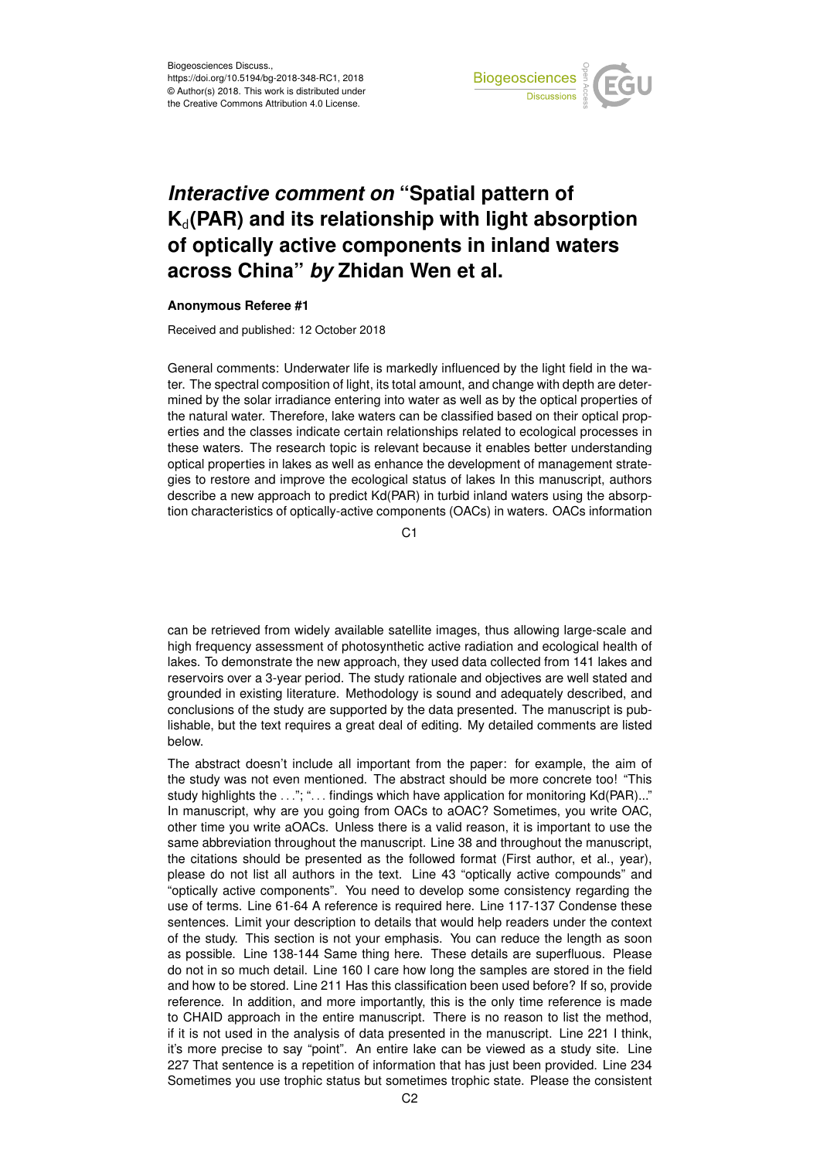

## *Interactive comment on* **"Spatial pattern of K**d**(PAR) and its relationship with light absorption of optically active components in inland waters across China"** *by* **Zhidan Wen et al.**

## **Anonymous Referee #1**

Received and published: 12 October 2018

General comments: Underwater life is markedly influenced by the light field in the water. The spectral composition of light, its total amount, and change with depth are determined by the solar irradiance entering into water as well as by the optical properties of the natural water. Therefore, lake waters can be classified based on their optical properties and the classes indicate certain relationships related to ecological processes in these waters. The research topic is relevant because it enables better understanding optical properties in lakes as well as enhance the development of management strategies to restore and improve the ecological status of lakes In this manuscript, authors describe a new approach to predict Kd(PAR) in turbid inland waters using the absorption characteristics of optically-active components (OACs) in waters. OACs information

C1

can be retrieved from widely available satellite images, thus allowing large-scale and high frequency assessment of photosynthetic active radiation and ecological health of lakes. To demonstrate the new approach, they used data collected from 141 lakes and reservoirs over a 3-year period. The study rationale and objectives are well stated and grounded in existing literature. Methodology is sound and adequately described, and conclusions of the study are supported by the data presented. The manuscript is publishable, but the text requires a great deal of editing. My detailed comments are listed below.

The abstract doesn't include all important from the paper: for example, the aim of the study was not even mentioned. The abstract should be more concrete too! "This study highlights the ..."; "... findings which have application for monitoring Kd(PAR)..." In manuscript, why are you going from OACs to aOAC? Sometimes, you write OAC, other time you write aOACs. Unless there is a valid reason, it is important to use the same abbreviation throughout the manuscript. Line 38 and throughout the manuscript, the citations should be presented as the followed format (First author, et al., year), please do not list all authors in the text. Line 43 "optically active compounds" and "optically active components". You need to develop some consistency regarding the use of terms. Line 61-64 A reference is required here. Line 117-137 Condense these sentences. Limit your description to details that would help readers under the context of the study. This section is not your emphasis. You can reduce the length as soon as possible. Line 138-144 Same thing here. These details are superfluous. Please do not in so much detail. Line 160 I care how long the samples are stored in the field and how to be stored. Line 211 Has this classification been used before? If so, provide reference. In addition, and more importantly, this is the only time reference is made to CHAID approach in the entire manuscript. There is no reason to list the method, if it is not used in the analysis of data presented in the manuscript. Line 221 I think, it's more precise to say "point". An entire lake can be viewed as a study site. Line 227 That sentence is a repetition of information that has just been provided. Line 234 Sometimes you use trophic status but sometimes trophic state. Please the consistent